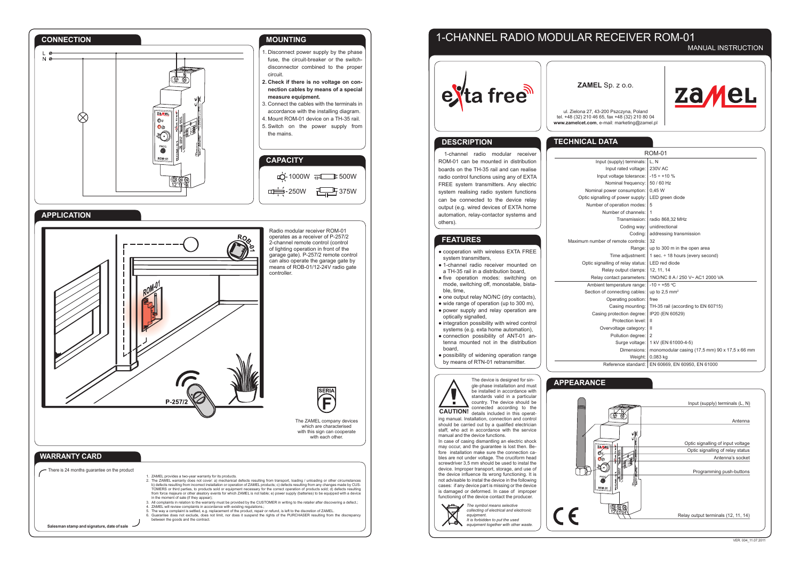# 1-CHANNEL RADIO MODULAR RECEIVER ROM-01

## MANUAL INSTRUCTION

**ZAMEL** Sp. z o.o.



ul. Zielona 27, 43-200 Pszczyna, Poland tel. +48 (32) 210 46 65, fax +48 (32) 210 80 04 **www.zamelcet.com**, e-mail: marketing@zamel.pl

## **TECHNICAL DATA**

Nominal Optic signalli Number

Maximum number

Optic signa

CE

| L DAIA                        |                                                |  |  |  |  |  |  |
|-------------------------------|------------------------------------------------|--|--|--|--|--|--|
|                               | <b>ROM-01</b>                                  |  |  |  |  |  |  |
| Input (supply) terminals:     | L.N                                            |  |  |  |  |  |  |
| Input rated voltage:          | <b>230V AC</b>                                 |  |  |  |  |  |  |
| Input voltage tolerance:      | $-15 \div +10 \%$                              |  |  |  |  |  |  |
| Nominal frequency:            | 50 / 60 Hz                                     |  |  |  |  |  |  |
| minal power consumption:      | 0,45 W                                         |  |  |  |  |  |  |
| signalling of power supply:   | LED green diode                                |  |  |  |  |  |  |
| umber of operation modes:     | 5                                              |  |  |  |  |  |  |
| Number of channels:           | 1                                              |  |  |  |  |  |  |
| Transmission:                 | radio 868,32 MHz                               |  |  |  |  |  |  |
| Coding way:                   | unidirectional                                 |  |  |  |  |  |  |
| Coding:                       | addressing transmission                        |  |  |  |  |  |  |
| number of remote controls:    | 32                                             |  |  |  |  |  |  |
| Range:                        | up to 300 m in the open area                   |  |  |  |  |  |  |
| Time adjustment:              | 1 sec. $\div$ 18 hours (every second)          |  |  |  |  |  |  |
| c signalling of relay status: | <b>LED</b> red diode                           |  |  |  |  |  |  |
| Relay output clamps:          | 12. 11. 14                                     |  |  |  |  |  |  |
| Relay contact parameters:     | 1NO/NC 8 A / 250 V~ AC1 2000 VA                |  |  |  |  |  |  |
| mbient temperature range:     | $-10 \div +55$ °C                              |  |  |  |  |  |  |
| ction of connecting cables:   | up to $2.5$ mm <sup>2</sup>                    |  |  |  |  |  |  |
| Operating position:           | free                                           |  |  |  |  |  |  |
| Casing mounting:              | TH-35 rail (according to EN 60715)             |  |  |  |  |  |  |
| Casing protection degree:     | IP20 (EN 60529)                                |  |  |  |  |  |  |
| Protection level:             | Ш                                              |  |  |  |  |  |  |
| Overvoltage category:         | $\mathbf{H}$                                   |  |  |  |  |  |  |
| Pollution degree:             | $\overline{2}$                                 |  |  |  |  |  |  |
| Surge voltage:                | 1 kV (EN 61000-4-5)                            |  |  |  |  |  |  |
| Dimensions:                   | monomodular casing (17,5 mm) 90 x 17,5 x 66 mm |  |  |  |  |  |  |
| Weight:                       | 0,083 kg                                       |  |  |  |  |  |  |
| Reference standard:           | EN 60669, EN 60950, EN 61000                   |  |  |  |  |  |  |

### e<sup>v</sup>ta free<sup>ss</sup> **DESCRIPTION** 1-channel radio modular receiver ROM-01 can be mounted in distribution boards on the TH-35 rail and can realise radio control functions using any of EXTA FREE system transmitters. Any electric system realising radio system functions can be connected to the device relay output (e.g. wired devices of EXTA home automation, relay-contactor systems and others). **FEATURES** ● cooperation with wireless EXTA FREE system transmitters, ● 1-channel radio receiver mounted on a TH-35 rail in a distribution board, ● five operation modes: switching on mode, switching off, monostable, bista-Ambient ble, time, Section of • one output relay NO/NC (dry contacts), • wide range of operation (up to 300 m), • power supply and relay operation are optically signalled, • integration possibility with wired control systems (e.g. exta home automation), • connection possibility of ANT-01 antenna mounted not in the distribution board, ● possibility of widening operation range by means of RTN-01 retransmitter. The device is designed for sin-**APPEARANCE** gle-phase installation and must be installed in accordance with standards valid in a particular country. The device should be<br>connected according to the connected according to the **CAUTION!** details included in this operating manual. Installation, connection and control should be carried out by a qualified electrician staff, who act in accordance with the service manual and the device functions. In case of casing dismantling an electric shock may occur, and the guarantee is lost then. Before installation make sure the connection cables are not under voltage. The cruciform head screwdriver 3,5 mm should be used to instal the device. Improper transport, storage, and use of the device influence its wrong functioning. It is not advisable to instal the device in the following cases: if any device part is missing or the device is damaged or deformed. In case of improper functioning of the device contact the producer. *The symbol means selective collecting of electrical and electronic equipment. It is forbidden to put the used*

*equipment together with other waste.*

Input (supply) terminals (L, N)  $\circledast$   $\circledast$ Antenna Optic signalling of input voltage Optic signalling of relay status Antenna's socket Programming push-buttons ۱۹۹ Relay output terminals (12, 11, 14)